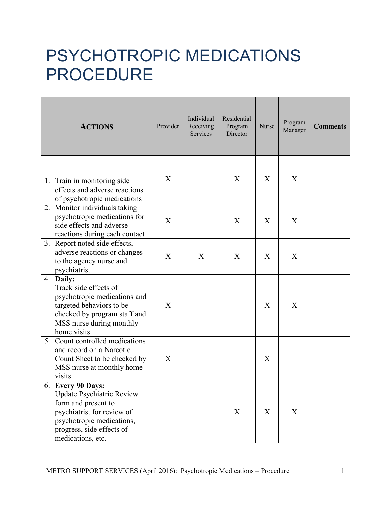## PSYCHOTROPIC MEDICATIONS PROCEDURE

| <b>ACTIONS</b>                                                                                                                                                                     | Provider | Individual<br>Receiving<br>Services | Residential<br>Program<br>Director | Nurse | Program<br>Manager | <b>Comments</b> |
|------------------------------------------------------------------------------------------------------------------------------------------------------------------------------------|----------|-------------------------------------|------------------------------------|-------|--------------------|-----------------|
| 1. Train in monitoring side<br>effects and adverse reactions<br>of psychotropic medications                                                                                        | X        |                                     | X                                  | X     | X                  |                 |
| 2. Monitor individuals taking<br>psychotropic medications for<br>side effects and adverse<br>reactions during each contact                                                         | X        |                                     | X                                  | X     | X                  |                 |
| 3. Report noted side effects,<br>adverse reactions or changes<br>to the agency nurse and<br>psychiatrist                                                                           | X        | X                                   | X                                  | X     | X                  |                 |
| 4. Daily:<br>Track side effects of<br>psychotropic medications and<br>targeted behaviors to be<br>checked by program staff and<br>MSS nurse during monthly<br>home visits.         | X        |                                     |                                    | X     | X                  |                 |
| 5. Count controlled medications<br>and record on a Narcotic<br>Count Sheet to be checked by<br>MSS nurse at monthly home<br>visits                                                 | X        |                                     |                                    | X     |                    |                 |
| 6. Every 90 Days:<br>Update Psychiatric Review<br>form and present to<br>psychiatrist for review of<br>psychotropic medications,<br>progress, side effects of<br>medications, etc. |          |                                     | X                                  | X     | X                  |                 |